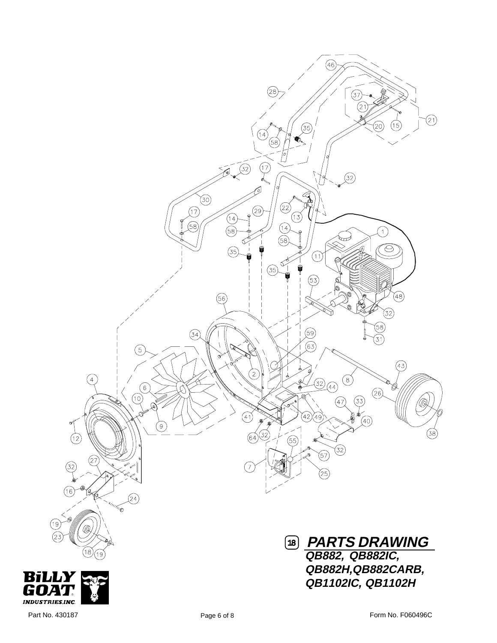